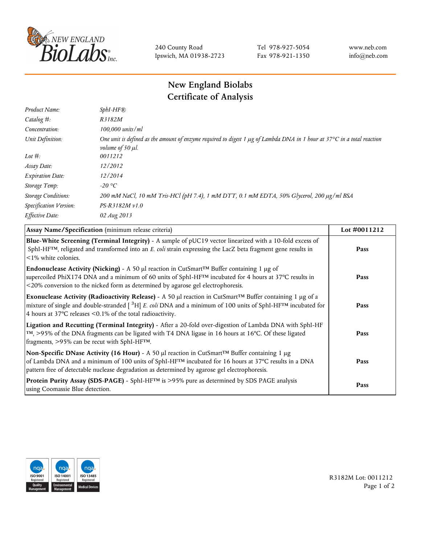

240 County Road Ipswich, MA 01938-2723 Tel 978-927-5054 Fax 978-921-1350 www.neb.com info@neb.com

## **New England Biolabs Certificate of Analysis**

| $SphI-HF$ $R$                                                                                                                                                          |
|------------------------------------------------------------------------------------------------------------------------------------------------------------------------|
| R3182M                                                                                                                                                                 |
| 100,000 units/ml                                                                                                                                                       |
| One unit is defined as the amount of enzyme required to digest 1 $\mu$ g of Lambda DNA in 1 hour at 37°C in a total reaction<br><i>volume of 50 <math>\mu</math>l.</i> |
| 0011212                                                                                                                                                                |
| 12/2012                                                                                                                                                                |
| 12/2014                                                                                                                                                                |
| $-20$ °C                                                                                                                                                               |
| 200 mM NaCl, 10 mM Tris-HCl (pH 7.4), 1 mM DTT, 0.1 mM EDTA, 50% Glycerol, 200 µg/ml BSA                                                                               |
| $PS-R3182M \nu 1.0$                                                                                                                                                    |
| 02 Aug 2013                                                                                                                                                            |
|                                                                                                                                                                        |

| Assay Name/Specification (minimum release criteria)                                                                                                                                                                                                                                                                  | Lot #0011212 |
|----------------------------------------------------------------------------------------------------------------------------------------------------------------------------------------------------------------------------------------------------------------------------------------------------------------------|--------------|
| Blue-White Screening (Terminal Integrity) - A sample of pUC19 vector linearized with a 10-fold excess of<br>SphI-HF <sup>TM</sup> , religated and transformed into an E. coli strain expressing the LacZ beta fragment gene results in<br>$\leq$ 1% white colonies.                                                  | Pass         |
| <b>Endonuclease Activity (Nicking)</b> - A 50 µl reaction in CutSmart <sup>TM</sup> Buffer containing 1 µg of<br>supercoiled PhiX174 DNA and a minimum of 60 units of SphI-HF™ incubated for 4 hours at 37°C results in<br><20% conversion to the nicked form as determined by agarose gel electrophoresis.          | Pass         |
| Exonuclease Activity (Radioactivity Release) - A 50 µl reaction in CutSmart™ Buffer containing 1 µg of a<br>mixture of single and double-stranded $[$ <sup>3</sup> H $]$ E. coli DNA and a minimum of 100 units of SphI-HF <sup>TM</sup> incubated for<br>4 hours at 37°C releases <0.1% of the total radioactivity. | Pass         |
| Ligation and Recutting (Terminal Integrity) - After a 20-fold over-digestion of Lambda DNA with SphI-HF<br>TM, >95% of the DNA fragments can be ligated with T4 DNA ligase in 16 hours at 16°C. Of these ligated<br>fragments, >95% can be recut with SphI-HFTM.                                                     | Pass         |
| Non-Specific DNase Activity (16 Hour) - A 50 µl reaction in CutSmart™ Buffer containing 1 µg<br>of Lambda DNA and a minimum of 100 units of SphI-HF <sup>TM</sup> incubated for 16 hours at 37°C results in a DNA<br>pattern free of detectable nuclease degradation as determined by agarose gel electrophoresis.   | Pass         |
| Protein Purity Assay (SDS-PAGE) - SphI-HF™ is >95% pure as determined by SDS PAGE analysis<br>using Coomassie Blue detection.                                                                                                                                                                                        | Pass         |



R3182M Lot: 0011212 Page 1 of 2